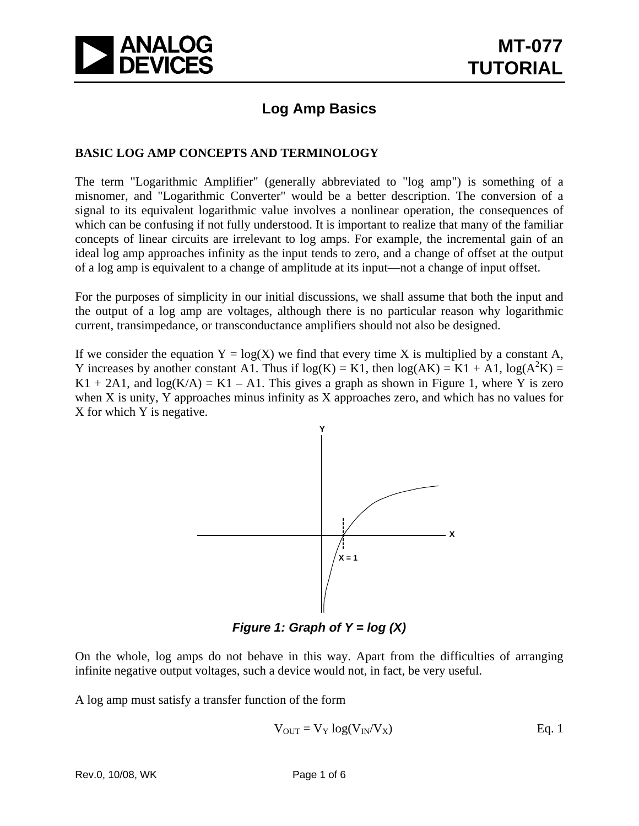

## **Log Amp Basics**

### **BASIC LOG AMP CONCEPTS AND TERMINOLOGY**

The term "Logarithmic Amplifier" (generally abbreviated to "log amp") is something of a misnomer, and "Logarithmic Converter" would be a better description. The conversion of a signal to its equivalent logarithmic value involves a nonlinear operation, the consequences of which can be confusing if not fully understood. It is important to realize that many of the familiar concepts of linear circuits are irrelevant to log amps. For example, the incremental gain of an ideal log amp approaches infinity as the input tends to zero, and a change of offset at the output of a log amp is equivalent to a change of amplitude at its input—not a change of input offset.

For the purposes of simplicity in our initial discussions, we shall assume that both the input and the output of a log amp are voltages, although there is no particular reason why logarithmic current, transimpedance, or transconductance amplifiers should not also be designed.

If we consider the equation  $Y = \log(X)$  we find that every time X is multiplied by a constant A, Y increases by another constant A1. Thus if  $log(K) = K1$ , then  $log(AK) = K1 + A1$ ,  $log(A^2K) =$  $K1 + 2A1$ , and  $log(K/A) = K1 - A1$ . This gives a graph as shown in Figure 1, where Y is zero when X is unity, Y approaches minus infinity as X approaches zero, and which has no values for X for which Y is negative.



*Figure 1: Graph of Y = log (X)* 

On the whole, log amps do not behave in this way. Apart from the difficulties of arranging infinite negative output voltages, such a device would not, in fact, be very useful.

A log amp must satisfy a transfer function of the form

$$
V_{OUT} = V_Y \log(V_{IN}/V_X)
$$
 Eq. 1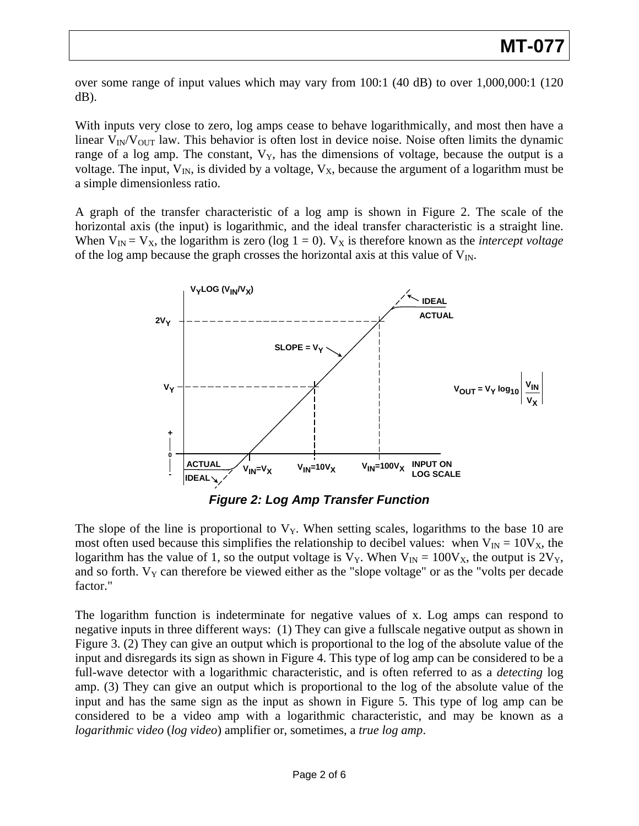over some range of input values which may vary from 100:1 (40 dB) to over 1,000,000:1 (120 dB).

With inputs very close to zero, log amps cease to behave logarithmically, and most then have a linear  $V_{\text{IN}}/V_{\text{OUT}}$  law. This behavior is often lost in device noise. Noise often limits the dynamic range of a log amp. The constant,  $V_Y$ , has the dimensions of voltage, because the output is a voltage. The input,  $V_{IN}$ , is divided by a voltage,  $V_X$ , because the argument of a logarithm must be a simple dimensionless ratio.

A graph of the transfer characteristic of a log amp is shown in Figure 2. The scale of the horizontal axis (the input) is logarithmic, and the ideal transfer characteristic is a straight line. When  $V_{IN} = V_X$ , the logarithm is zero (log  $1 = 0$ ).  $V_X$  is therefore known as the *intercept voltage* of the log amp because the graph crosses the horizontal axis at this value of  $V_{\text{IN}}$ .



*Figure 2: Log Amp Transfer Function*

The slope of the line is proportional to  $V<sub>Y</sub>$ . When setting scales, logarithms to the base 10 are most often used because this simplifies the relationship to decibel values: when  $V_{IN} = 10V_X$ , the logarithm has the value of 1, so the output voltage is  $V_Y$ . When  $V_{IN} = 100V_X$ , the output is  $2V_Y$ , and so forth.  $V_Y$  can therefore be viewed either as the "slope voltage" or as the "volts per decade factor."

The logarithm function is indeterminate for negative values of x. Log amps can respond to negative inputs in three different ways: (1) They can give a fullscale negative output as shown in Figure 3. (2) They can give an output which is proportional to the log of the absolute value of the input and disregards its sign as shown in Figure 4. This type of log amp can be considered to be a full-wave detector with a logarithmic characteristic, and is often referred to as a *detecting* log amp. (3) They can give an output which is proportional to the log of the absolute value of the input and has the same sign as the input as shown in Figure 5. This type of log amp can be considered to be a video amp with a logarithmic characteristic, and may be known as a *logarithmic video* (*log video*) amplifier or, sometimes, a *true log amp*.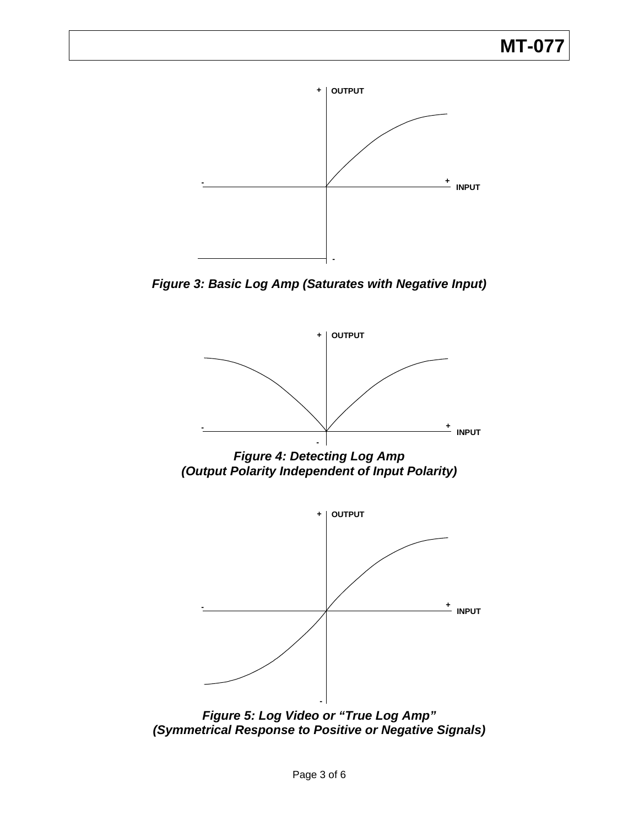# **MT-077**



*Figure 3: Basic Log Amp (Saturates with Negative Input)* 



*Figure 4: Detecting Log Amp (Output Polarity Independent of Input Polarity)* 



*Figure 5: Log Video or "True Log Amp" (Symmetrical Response to Positive or Negative Signals)*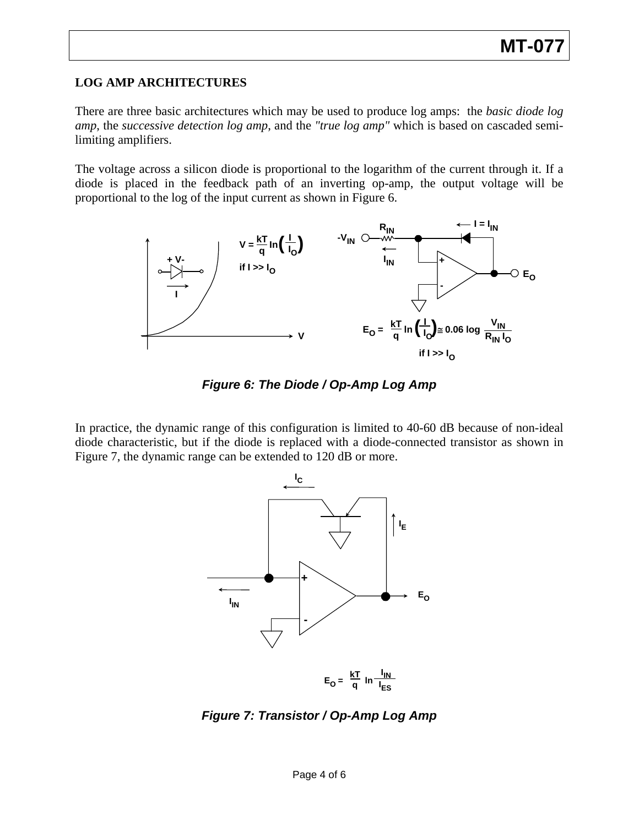### **LOG AMP ARCHITECTURES**

There are three basic architectures which may be used to produce log amps: the *basic diode log amp*, the *successive detection log amp*, and the *"true log amp"* which is based on cascaded semilimiting amplifiers.

The voltage across a silicon diode is proportional to the logarithm of the current through it. If a diode is placed in the feedback path of an inverting op-amp, the output voltage will be proportional to the log of the input current as shown in Figure 6.



*Figure 6: The Diode / Op-Amp Log Amp* 

In practice, the dynamic range of this configuration is limited to 40-60 dB because of non-ideal diode characteristic, but if the diode is replaced with a diode-connected transistor as shown in Figure 7, the dynamic range can be extended to 120 dB or more.



*Figure 7: Transistor / Op-Amp Log Amp*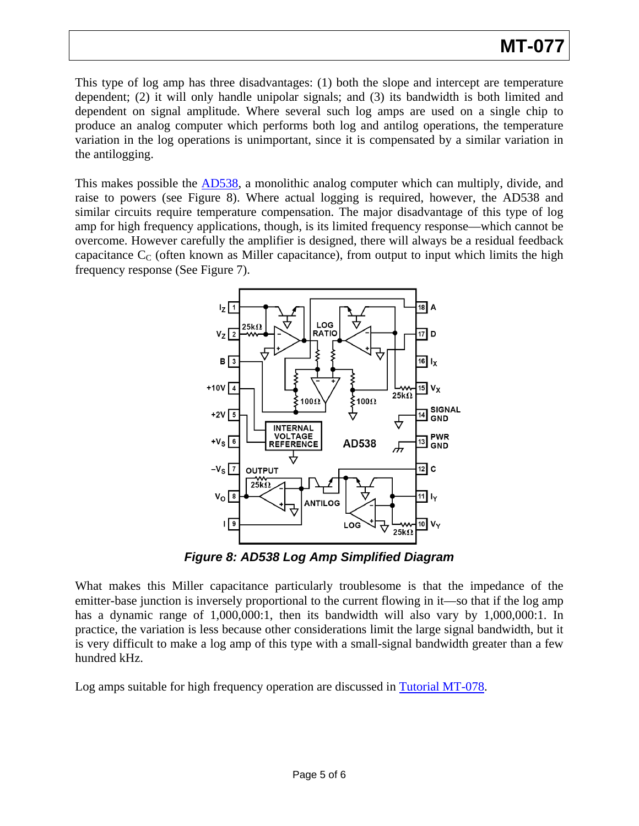This type of log amp has three disadvantages: (1) both the slope and intercept are temperature dependent; (2) it will only handle unipolar signals; and (3) its bandwidth is both limited and dependent on signal amplitude. Where several such log amps are used on a single chip to produce an analog computer which performs both log and antilog operations, the temperature variation in the log operations is unimportant, since it is compensated by a similar variation in the antilogging.

This makes possible the [AD538](http://www.analog.com/en/other/analog-multipliersdividers/ad538/products/product.html), a monolithic analog computer which can multiply, divide, and raise to powers (see Figure 8). Where actual logging is required, however, the AD538 and similar circuits require temperature compensation. The major disadvantage of this type of log amp for high frequency applications, though, is its limited frequency response—which cannot be overcome. However carefully the amplifier is designed, there will always be a residual feedback capacitance  $C_{\text{C}}$  (often known as Miller capacitance), from output to input which limits the high frequency response (See Figure 7).



*Figure 8: AD538 Log Amp Simplified Diagram* 

What makes this Miller capacitance particularly troublesome is that the impedance of the emitter-base junction is inversely proportional to the current flowing in it—so that if the log amp has a dynamic range of 1,000,000:1, then its bandwidth will also vary by 1,000,000:1. In practice, the variation is less because other considerations limit the large signal bandwidth, but it is very difficult to make a log amp of this type with a small-signal bandwidth greater than a few hundred kHz.

Log amps suitable for high frequency operation are discussed in [Tutorial MT-078](http://www.analog.com/static/imported-files/tutorials/MT-078.pdf).